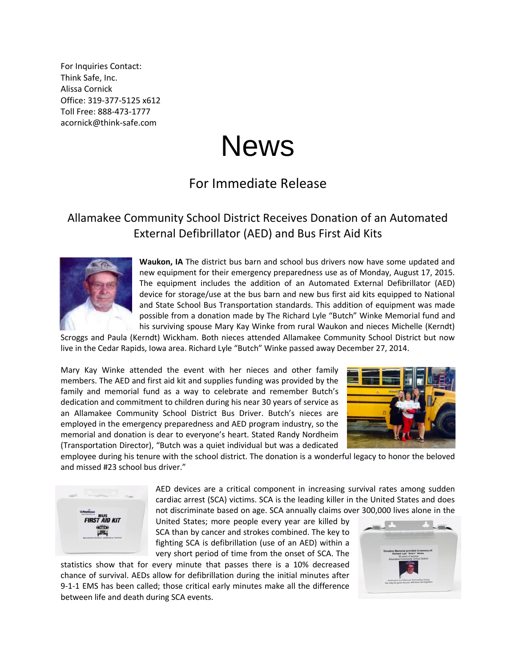For Inquiries Contact: Think Safe, Inc. Alissa Cornick Office: 319-377-5125 x612 Toll Free: 888-473-1777 acornick@think-safe.com

## News

## For Immediate Release

## Allamakee Community School District Receives Donation of an Automated External Defibrillator (AED) and Bus First Aid Kits



**Waukon, IA** The district bus barn and school bus drivers now have some updated and new equipment for their emergency preparedness use as of Monday, August 17, 2015. The equipment includes the addition of an Automated External Defibrillator (AED) device for storage/use at the bus barn and new bus first aid kits equipped to National and State School Bus Transportation standards. This addition of equipment was made possible from a donation made by The Richard Lyle "Butch" Winke Memorial fund and his surviving spouse Mary Kay Winke from rural Waukon and nieces Michelle (Kerndt)

Scroggs and Paula (Kerndt) Wickham. Both nieces attended Allamakee Community School District but now live in the Cedar Rapids, Iowa area. Richard Lyle "Butch" Winke passed away December 27, 2014.

Mary Kay Winke attended the event with her nieces and other family members. The AED and first aid kit and supplies funding was provided by the family and memorial fund as a way to celebrate and remember Butch's dedication and commitment to children during his near 30 years of service as an Allamakee Community School District Bus Driver. Butch's nieces are employed in the emergency preparedness and AED program industry, so the memorial and donation is dear to everyone's heart. Stated Randy Nordheim (Transportation Director), "Butch was a quiet individual but was a dedicated



employee during his tenure with the school district. The donation is a wonderful legacy to honor the beloved and missed #23 school bus driver."



AED devices are a critical component in increasing survival rates among sudden cardiac arrest (SCA) victims. SCA is the leading killer in the United States and does not discriminate based on age. SCA annually claims over 300,000 lives alone in the

United States; more people every year are killed by SCA than by cancer and strokes combined. The key to fighting SCA is defibrillation (use of an AED) within a very short period of time from the onset of SCA. The

statistics show that for every minute that passes there is a 10% decreased chance of survival. AEDs allow for defibrillation during the initial minutes after 9-1-1 EMS has been called; those critical early minutes make all the difference between life and death during SCA events.